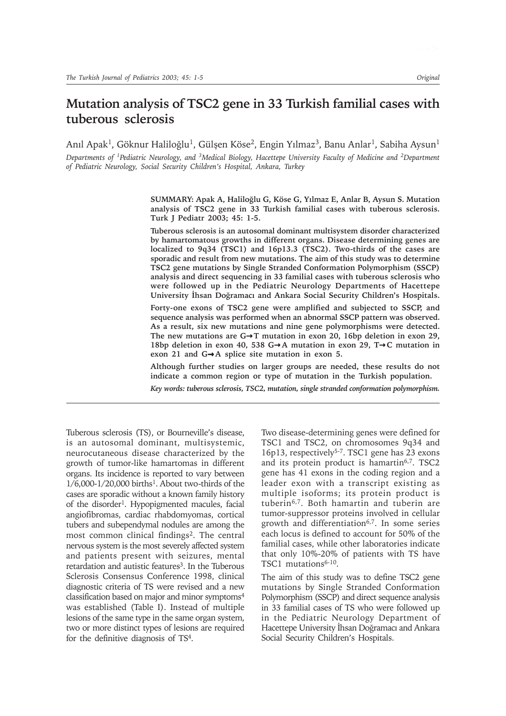# **Mutation analysis of TSC2 gene in 33 Turkish familial cases with tuberous sclerosis**

Anıl Apak<sup>1</sup>, Göknur Haliloğlu<sup>1</sup>, Gülşen Köse<sup>2</sup>, Engin Yılmaz<sup>3</sup>, Banu Anlar<sup>1</sup>, Sabiha Aysun<sup>1</sup>

*Departments of 1Pediatric Neurology, and 3Medical Biology, Hacettepe University Faculty of Medicine and 2Department of Pediatric Neurology, Social Security Children's Hospital, Ankara, Turkey*

> SUMMARY: Apak A, Haliloğlu G, Köse G, Yılmaz E, Anlar B, Aysun S. Mutation **analysis of TSC2 gene in 33 Turkish familial cases with tuberous sclerosis. Turk J Pediatr 2003; 45: 1-5.**

> **Tuberous sclerosis is an autosomal dominant multisystem disorder characterized by hamartomatous growths in different organs. Disease determining genes are localized to 9q34 (TSC1) and 16p13.3 (TSC2). Two-thirds of the cases are sporadic and result from new mutations. The aim of this study was to determine TSC2 gene mutations by Single Stranded Conformation Polymorphism (SSCP) analysis and direct sequencing in 33 familial cases with tuberous sclerosis who were followed up in the Pediatric Neurology Departments of Hacettepe University Ýhsan Doðramacý and Ankara Social Security Children's Hospitals.**

> **Forty-one exons of TSC2 gene were amplified and subjected to SSCP, and sequence analysis was performed when an abnormal SSCP pattern was observed. As a result, six new mutations and nine gene polymorphisms were detected. The new mutations are G**→**T mutation in exon 20, 16bp deletion in exon 29, 18bp deletion in exon 40, 538 G**→**A mutation in exon 29, T**→**C mutation in exon 21 and G**→**A splice site mutation in exon 5.**

> **Although further studies on larger groups are needed, these results do not indicate a common region or type of mutation in the Turkish population.**

> *Key words: tuberous sclerosis, TSC2, mutation, single stranded conformation polymorphism.*

Tuberous sclerosis (TS), or Bourneville's disease, is an autosomal dominant, multisystemic, neurocutaneous disease characterized by the growth of tumor-like hamartomas in different organs. Its incidence is reported to vary between  $1/6,000$ - $1/20,000$  births<sup>1</sup>. About two-thirds of the cases are sporadic without a known family history of the disorder<sup>1</sup>. Hypopigmented macules, facial angiofibromas, cardiac rhabdomyomas, cortical tubers and subependymal nodules are among the most common clinical findings<sup>2</sup>. The central nervous system is the most severely affected system and patients present with seizures, mental retardation and autistic features<sup>3</sup>. In the Tuberous Sclerosis Consensus Conference 1998, clinical diagnostic criteria of TS were revised and a new classification based on major and minor symptoms4 was established (Table I). Instead of multiple lesions of the same type in the same organ system, two or more distinct types of lesions are required for the definitive diagnosis of TS4.

Two disease-determining genes were defined for TSC1 and TSC2, on chromosomes 9q34 and 16p13, respectively5-7. TSC1 gene has 23 exons and its protein product is hamartin $6,7$ . TSC2 gene has 41 exons in the coding region and a leader exon with a transcript existing as multiple isoforms; its protein product is tuberin6,7. Both hamartin and tuberin are tumor-suppressor proteins involved in cellular growth and differentiation<sup>6,7</sup>. In some series each locus is defined to account for 50% of the familial cases, while other laboratories indicate that only 10%-20% of patients with TS have TSC1 mutations<sup>6-10</sup>.

The aim of this study was to define TSC2 gene mutations by Single Stranded Conformation Polymorphism (SSCP) and direct sequence analysis in 33 familial cases of TS who were followed up in the Pediatric Neurology Department of Hacettepe University İhsan Doğramacı and Ankara Social Security Children's Hospitals.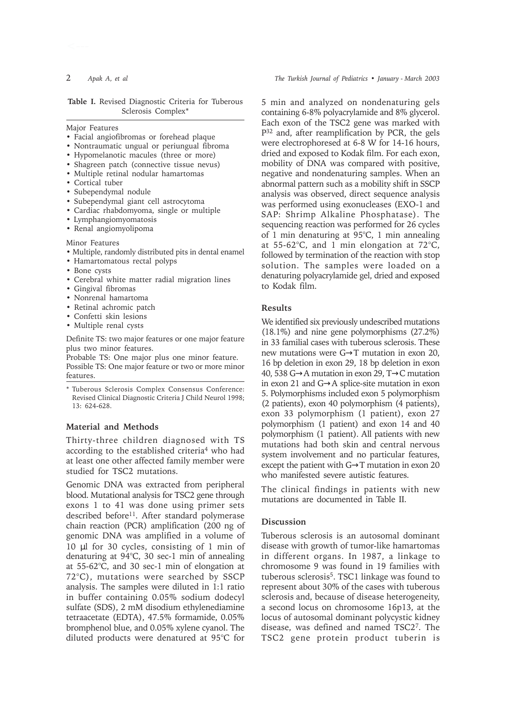Major Features

- Facial angiofibromas or forehead plaque
- Nontraumatic ungual or periungual fibroma
- Hypomelanotic macules (three or more)
- Shagreen patch (connective tissue nevus)
- Multiple retinal nodular hamartomas
- Cortical tuber
- Subependymal nodule
- Subependymal giant cell astrocytoma
- Cardiac rhabdomyoma, single or multiple
- Lymphangiomyomatosis
- Renal angiomyolipoma

Minor Features

- Multiple, randomly distributed pits in dental enamel
- Hamartomatous rectal polyps
- Bone cysts
- Cerebral white matter radial migration lines
- Gingival fibromas
- Nonrenal hamartoma
- Retinal achromic patch
- Confetti skin lesions
- Multiple renal cysts

Definite TS: two major features or one major feature plus two minor features.

Probable TS: One major plus one minor feature. Possible TS: One major feature or two or more minor features.

\* Tuberous Sclerosis Complex Consensus Conference: Revised Clinical Diagnostic Criteria J Child Neurol 1998; 13: 624-628.

## **Material and Methods**

Thirty-three children diagnosed with TS according to the established criteria<sup>4</sup> who had at least one other affected family member were studied for TSC2 mutations.

Genomic DNA was extracted from peripheral blood. Mutational analysis for TSC2 gene through exons 1 to 41 was done using primer sets described before<sup>11</sup>. After standard polymerase chain reaction (PCR) amplification (200 ng of genomic DNA was amplified in a volume of 10 µl for 30 cycles, consisting of 1 min of denaturing at 94°C, 30 sec-1 min of annealing at 55-62°C, and 30 sec-1 min of elongation at 72°C), mutations were searched by SSCP analysis. The samples were diluted in 1:1 ratio in buffer containing 0.05% sodium dodecyl sulfate (SDS), 2 mM disodium ethylenediamine tetraacetate (EDTA), 47.5% formamide, 0.05% bromphenol blue, and 0.05% xylene cyanol. The diluted products were denatured at 95°C for

2 *Apak A, et al The Turkish Journal of Pediatrics • January - March 2003*

5 min and analyzed on nondenaturing gels containing 6-8% polyacrylamide and 8% glycerol. Each exon of the TSC2 gene was marked with P32 and, after reamplification by PCR, the gels were electrophoresed at 6-8 W for 14-16 hours, dried and exposed to Kodak film. For each exon, mobility of DNA was compared with positive, negative and nondenaturing samples. When an abnormal pattern such as a mobility shift in SSCP analysis was observed, direct sequence analysis was performed using exonucleases (EXO-1 and SAP: Shrimp Alkaline Phosphatase). The sequencing reaction was performed for 26 cycles of 1 min denaturing at 95°C, 1 min annealing at 55-62°C, and 1 min elongation at 72°C, followed by termination of the reaction with stop solution. The samples were loaded on a denaturing polyacrylamide gel, dried and exposed to Kodak film.

### **Results**

We identified six previously undescribed mutations (18.1%) and nine gene polymorphisms (27.2%) in 33 familial cases with tuberous sclerosis. These new mutations were G→T mutation in exon 20, 16 bp deletion in exon 29, 18 bp deletion in exon 40, 538 G→A mutation in exon 29, T→C mutation in exon 21 and G→A splice-site mutation in exon 5. Polymorphisms included exon 5 polymorphism (2 patients), exon 40 polymorphism (4 patients), exon 33 polymorphism (1 patient), exon 27 polymorphism (1 patient) and exon 14 and 40 polymorphism (1 patient). All patients with new mutations had both skin and central nervous system involvement and no particular features, except the patient with G→T mutation in exon 20 who manifested severe autistic features.

The clinical findings in patients with new mutations are documented in Table II.

## **Discussion**

Tuberous sclerosis is an autosomal dominant disease with growth of tumor-like hamartomas in different organs. In 1987, a linkage to chromosome 9 was found in 19 families with tuberous sclerosis<sup>5</sup>. TSC1 linkage was found to represent about 30% of the cases with tuberous sclerosis and, because of disease heterogeneity, a second locus on chromosome 16p13, at the locus of autosomal dominant polycystic kidney disease, was defined and named TSC27. The TSC2 gene protein product tuberin is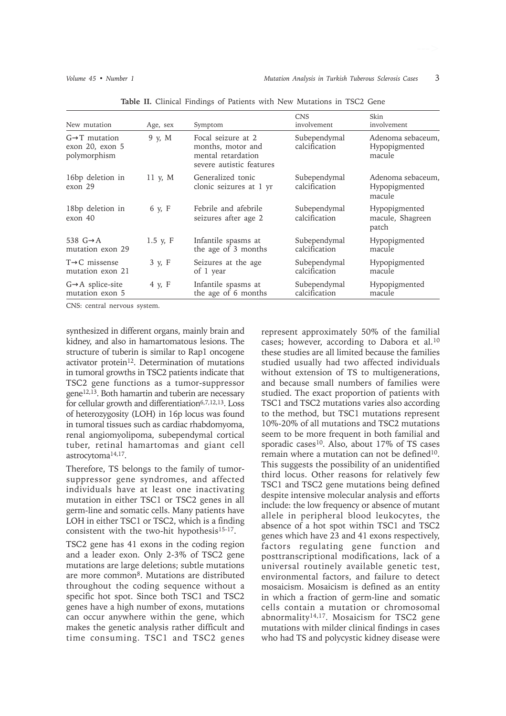| New mutation                                                  | Age, sex   | Symptom                                                                                   | <b>CNS</b><br>involvement     | Skin<br>involvement                          |
|---------------------------------------------------------------|------------|-------------------------------------------------------------------------------------------|-------------------------------|----------------------------------------------|
| $G \rightarrow T$ mutation<br>exon 20, exon 5<br>polymorphism | 9 y, M     | Focal seizure at 2<br>months, motor and<br>mental retardation<br>severe autistic features | Subependymal<br>calcification | Adenoma sebaceum,<br>Hypopigmented<br>macule |
| 16bp deletion in<br>exon 29                                   | 11 y, $M$  | Generalized tonic<br>clonic seizures at 1 yr                                              | Subependymal<br>calcification | Adenoma sebaceum,<br>Hypopigmented<br>macule |
| 18bp deletion in<br>exon 40                                   | 6 y, F     | Febrile and afebrile<br>seizures after age 2                                              | Subependymal<br>calcification | Hypopigmented<br>macule, Shagreen<br>patch   |
| 538 $G \rightarrow A$<br>mutation exon 29                     | $1.5$ y, F | Infantile spasms at<br>the age of 3 months                                                | Subependymal<br>calcification | Hypopigmented<br>macule                      |
| $T\rightarrow C$ missense<br>mutation exon 21                 | 3 y, F     | Seizures at the age<br>of 1 year                                                          | Subependymal<br>calcification | Hypopigmented<br>macule                      |
| $G \rightarrow A$ splice-site<br>mutation exon 5              | 4 y, F     | Infantile spasms at<br>the age of 6 months                                                | Subependymal<br>calcification | Hypopigmented<br>macule                      |

**Table II.** Clinical Findings of Patients with New Mutations in TSC2 Gene

CNS: central nervous system.

synthesized in different organs, mainly brain and kidney, and also in hamartomatous lesions. The structure of tuberin is similar to Rap1 oncogene activator protein<sup>12</sup>. Determination of mutations in tumoral growths in TSC2 patients indicate that TSC2 gene functions as a tumor-suppressor gene12,13. Both hamartin and tuberin are necessary for cellular growth and differentiation<sup>6,7,12,13</sup>. Loss of heterozygosity (LOH) in 16p locus was found in tumoral tissues such as cardiac rhabdomyoma, renal angiomyolipoma, subependymal cortical tuber, retinal hamartomas and giant cell astrocytoma14,17.

Therefore, TS belongs to the family of tumorsuppressor gene syndromes, and affected individuals have at least one inactivating mutation in either TSC1 or TSC2 genes in all germ-line and somatic cells. Many patients have LOH in either TSC1 or TSC2, which is a finding consistent with the two-hit hypothesis<sup>15-17</sup>.

TSC2 gene has 41 exons in the coding region and a leader exon. Only 2-3% of TSC2 gene mutations are large deletions; subtle mutations are more common8. Mutations are distributed throughout the coding sequence without a specific hot spot. Since both TSC1 and TSC2 genes have a high number of exons, mutations can occur anywhere within the gene, which makes the genetic analysis rather difficult and time consuming. TSC1 and TSC2 genes

represent approximately 50% of the familial cases; however, according to Dabora et al.10 these studies are all limited because the families studied usually had two affected individuals without extension of TS to multigenerations, and because small numbers of families were studied. The exact proportion of patients with TSC1 and TSC2 mutations varies also according to the method, but TSC1 mutations represent 10%-20% of all mutations and TSC2 mutations seem to be more frequent in both familial and sporadic cases<sup>10</sup>. Also, about 17% of TS cases remain where a mutation can not be defined<sup>10</sup>. This suggests the possibility of an unidentified third locus. Other reasons for relatively few TSC1 and TSC2 gene mutations being defined despite intensive molecular analysis and efforts include: the low frequency or absence of mutant allele in peripheral blood leukocytes, the absence of a hot spot within TSC1 and TSC2 genes which have 23 and 41 exons respectively, factors regulating gene function and posttranscriptional modifications, lack of a universal routinely available genetic test, environmental factors, and failure to detect mosaicism. Mosaicism is defined as an entity in which a fraction of germ-line and somatic cells contain a mutation or chromosomal abnormality14,17. Mosaicism for TSC2 gene mutations with milder clinical findings in cases who had TS and polycystic kidney disease were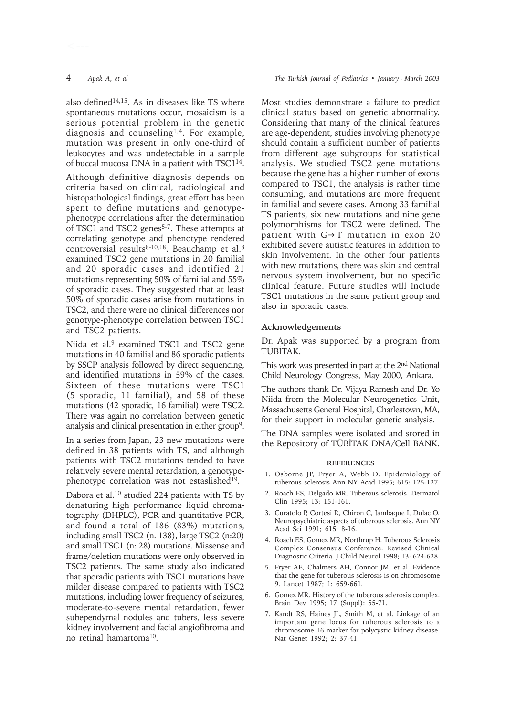also defined<sup>14,15</sup>. As in diseases like TS where spontaneous mutations occur, mosaicism is a serious potential problem in the genetic diagnosis and counseling1,4. For example, mutation was present in only one-third of leukocytes and was undetectable in a sample of buccal mucosa DNA in a patient with TSC114.

Although definitive diagnosis depends on criteria based on clinical, radiological and histopathological findings, great effort has been spent to define mutations and genotypephenotype correlations after the determination of TSC1 and TSC2 genes<sup>5-7</sup>. These attempts at correlating genotype and phenotype rendered controversial results<sup>8-10,18</sup>. Beauchamp et al.<sup>8</sup> examined TSC2 gene mutations in 20 familial and 20 sporadic cases and identified 21 mutations representing 50% of familial and 55% of sporadic cases. They suggested that at least 50% of sporadic cases arise from mutations in TSC2, and there were no clinical differences nor genotype-phenotype correlation between TSC1 and TSC2 patients.

Niida et al.<sup>9</sup> examined TSC1 and TSC2 gene mutations in 40 familial and 86 sporadic patients by SSCP analysis followed by direct sequencing, and identified mutations in 59% of the cases. Sixteen of these mutations were TSC1 (5 sporadic, 11 familial), and 58 of these mutations (42 sporadic, 16 familial) were TSC2. There was again no correlation between genetic analysis and clinical presentation in either group9.

In a series from Japan, 23 new mutations were defined in 38 patients with TS, and although patients with TSC2 mutations tended to have relatively severe mental retardation, a genotypephenotype correlation was not estaslished<sup>19</sup>.

Dabora et al.10 studied 224 patients with TS by denaturing high performance liquid chromatography (DHPLC), PCR and quantitative PCR, and found a total of 186 (83%) mutations, including small TSC2 (n. 138), large TSC2 (n:20) and small TSC1 (n: 28) mutations. Missense and frame/deletion mutations were only observed in TSC2 patients. The same study also indicated that sporadic patients with TSC1 mutations have milder disease compared to patients with TSC2 mutations, including lower frequency of seizures, moderate-to-severe mental retardation, fewer subependymal nodules and tubers, less severe kidney involvement and facial angiofibroma and no retinal hamartoma10.

Most studies demonstrate a failure to predict clinical status based on genetic abnormality. Considering that many of the clinical features are age-dependent, studies involving phenotype should contain a sufficient number of patients from different age subgroups for statistical analysis. We studied TSC2 gene mutations because the gene has a higher number of exons compared to TSC1, the analysis is rather time consuming, and mutations are more frequent in familial and severe cases. Among 33 familial TS patients, six new mutations and nine gene polymorphisms for TSC2 were defined. The patient with G→T mutation in exon 20 exhibited severe autistic features in addition to skin involvement. In the other four patients with new mutations, there was skin and central nervous system involvement, but no specific clinical feature. Future studies will include TSC1 mutations in the same patient group and also in sporadic cases.

#### **Acknowledgements**

Dr. Apak was supported by a program from TÜBİTAK.

This work was presented in part at the 2nd National Child Neurology Congress, May 2000, Ankara.

The authors thank Dr. Vijaya Ramesh and Dr. Yo Niida from the Molecular Neurogenetics Unit, Massachusetts General Hospital, Charlestown, MA, for their support in molecular genetic analysis.

The DNA samples were isolated and stored in the Repository of TÜBİTAK DNA/Cell BANK.

#### **REFERENCES**

- 1. Osborne JP, Fryer A, Webb D. Epidemiology of tuberous sclerosis Ann NY Acad 1995; 615: 125-127.
- 2. Roach ES, Delgado MR. Tuberous sclerosis. Dermatol Clin 1995; 13: 151-161.
- 3. Curatolo P, Cortesi R, Chiron C, Jambaque I, Dulac O. Neuropsychiatric aspects of tuberous sclerosis. Ann NY Acad Sci 1991; 615: 8-16.
- 4. Roach ES, Gomez MR, Northrup H. Tuberous Sclerosis Complex Consensus Conference: Revised Clinical Diagnostic Criteria. J Child Neurol 1998: 13: 624-628.
- 5. Fryer AE, Chalmers AH, Connor JM, et al. Evidence that the gene for tuberous sclerosis is on chromosome 9. Lancet 1987; 1: 659-661.
- 6. Gomez MR. History of the tuberous sclerosis complex. Brain Dev 1995; 17 (Suppl): 55-71.
- 7. Kandt RS, Haines JL, Smith M, et al. Linkage of an important gene locus for tuberous sclerosis to a chromosome 16 marker for polycystic kidney disease. Nat Genet 1992; 2: 37-41.